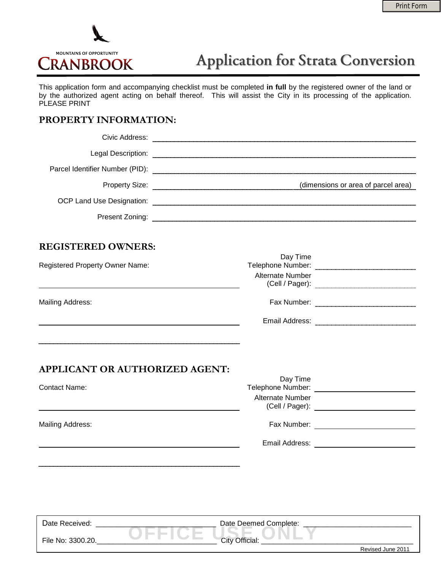

## **Application for Strata Conversion**

This application form and accompanying checklist must be completed **in full** by the registered owner of the land or by the authorized agent acting on behalf thereof. This will assist the City in its processing of the application. PLEASE PRINT

## **PROPERTY INFORMATION:**

|                                                               | Present Zoning: <b>Communicated and Communicate Communicates</b> and Communicates and Communicates and Communicates and Communicates and Communicates and Communicates and Communicates and Communicates and Communicates and Commu |                                                    |
|---------------------------------------------------------------|-------------------------------------------------------------------------------------------------------------------------------------------------------------------------------------------------------------------------------------|----------------------------------------------------|
| <b>REGISTERED OWNERS:</b>                                     |                                                                                                                                                                                                                                     |                                                    |
| <b>Registered Property Owner Name:</b>                        | Day Time<br>Alternate Number                                                                                                                                                                                                        |                                                    |
| Mailing Address:                                              |                                                                                                                                                                                                                                     |                                                    |
|                                                               |                                                                                                                                                                                                                                     |                                                    |
| <b>APPLICANT OR AUTHORIZED AGENT:</b><br><b>Contact Name:</b> | Day Time<br>Alternate Number                                                                                                                                                                                                        |                                                    |
| Mailing Address:                                              |                                                                                                                                                                                                                                     |                                                    |
|                                                               |                                                                                                                                                                                                                                     | Email Address: <u>____________________________</u> |
|                                                               |                                                                                                                                                                                                                                     |                                                    |
| Date Received:                                                | Date Deemed Complete:                                                                                                                                                                                                               |                                                    |
| File No: 3300.20.                                             | City Official:                                                                                                                                                                                                                      | Revised June 2011                                  |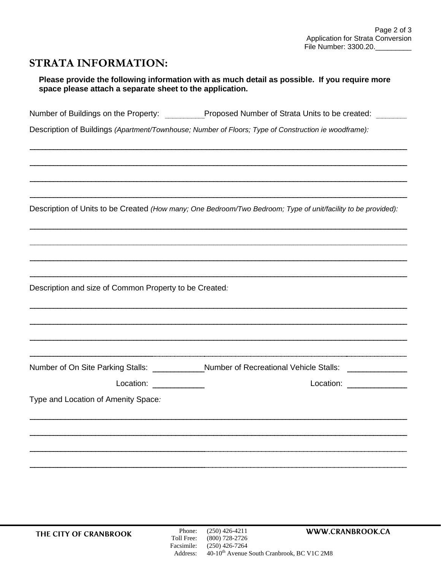## **STRATA INFORMATION:**

| Please provide the following information with as much detail as possible. If you require more |
|-----------------------------------------------------------------------------------------------|
| space please attach a separate sheet to the application.                                      |

Number of Buildings on the Property: Proposed Number of Strata Units to be created:

Description of Buildings *(Apartment/Townhouse; Number of Floors; Type of Construction ie woodframe):*

Description of Units to be Created *(How many; One Bedroom/Two Bedroom; Type of unit/facility to be provided):*

Description and size of Common Property to be Created*:*

| Number of On Site Parking Stalls:   | <b>Number of Recreational Vehicle Stalls:</b> |
|-------------------------------------|-----------------------------------------------|
| Location:                           | Location:                                     |
| Type and Location of Amenity Space: |                                               |
|                                     |                                               |
|                                     |                                               |
|                                     |                                               |